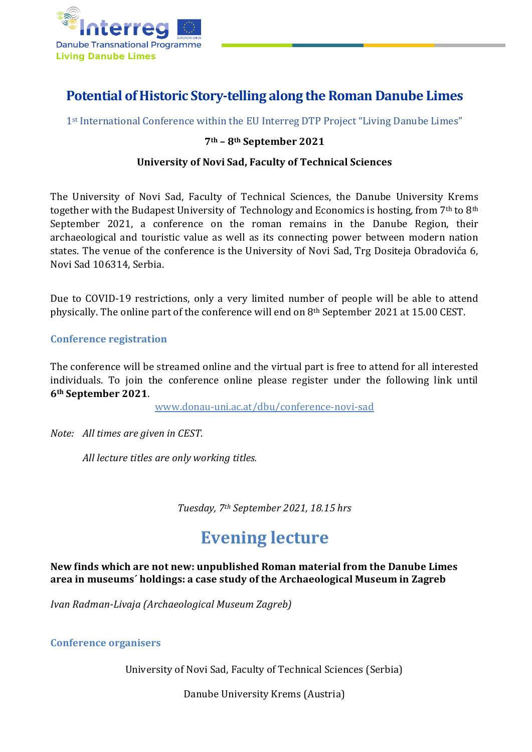

### **Potential of Historic Story-telling along the Roman Danube Limes**

1<sup>st</sup> International Conference within the EU Interreg DTP Project "Living Danube Limes"

### **7th – 8th September 2021**

### **University of Novi Sad, Faculty of Technical Sciences**

The University of Novi Sad, Faculty of Technical Sciences, the Danube University Krems together with the Budapest University of Technology and Economics is hosting, from  $7<sup>th</sup>$  to 8<sup>th</sup> September 2021, a conference on the roman remains in the Danube Region, their archaeological and touristic value as well as its connecting power between modern nation states. The venue of the conference is the University of Novi Sad, Trg Dositeja Obradovića 6, Novi Sad 106314, Serbia.

Due to COVID-19 restrictions, only a very limited number of people will be able to attend physically. The online part of the conference will end on 8th September 2021 at 15.00 CEST.

### **Conference registration**

The conference will be streamed online and the virtual part is free to attend for all interested individuals. To join the conference online please register under the following link until **6th September 2021**.

www.donau-uni.ac.at/dbu/conference-novi-sad

*Note: All times are given in CEST.*

*All lecture titles are only working titles.* 

*Tuesday, 7th September 2021, 18.15 hrs*

# **Evening lecture**

**New finds which are not new: unpublished Roman material from the Danube Limes area in museums´ holdings: a case study of the Archaeological Museum in Zagreb**

*Ivan Radman-Livaja (Archaeological Museum Zagreb)*

#### **Conference organisers**

University of Novi Sad, Faculty of Technical Sciences (Serbia)

Danube University Krems (Austria)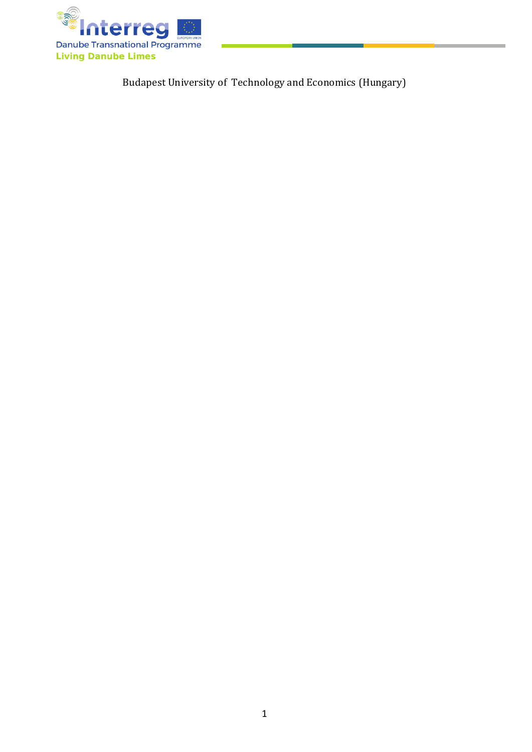

Budapest University of Technology and Economics (Hungary)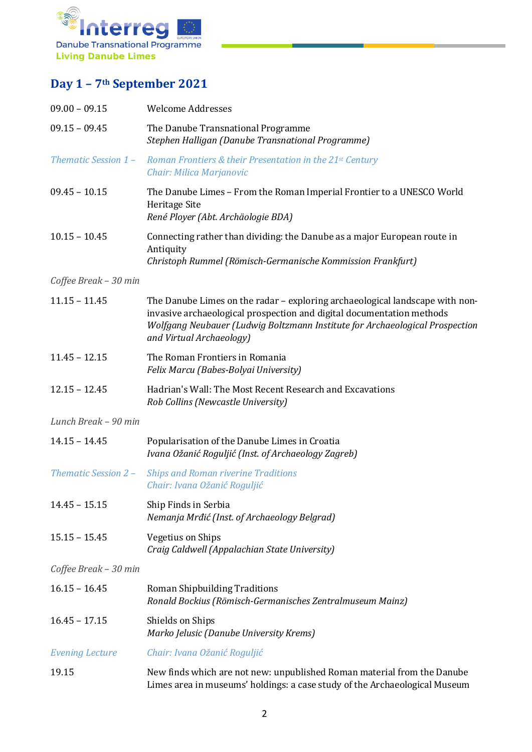

## **Day 1 – 7th September 2021**

| $09.00 - 09.15$        | <b>Welcome Addresses</b>                                                                                                                                                                                                                                          |
|------------------------|-------------------------------------------------------------------------------------------------------------------------------------------------------------------------------------------------------------------------------------------------------------------|
| $09.15 - 09.45$        | The Danube Transnational Programme<br>Stephen Halligan (Danube Transnational Programme)                                                                                                                                                                           |
| Thematic Session 1-    | Roman Frontiers & their Presentation in the 21st Century<br>Chair: Milica Marjanovic                                                                                                                                                                              |
| $09.45 - 10.15$        | The Danube Limes - From the Roman Imperial Frontier to a UNESCO World<br>Heritage Site<br>René Ployer (Abt. Archäologie BDA)                                                                                                                                      |
| $10.15 - 10.45$        | Connecting rather than dividing: the Danube as a major European route in<br>Antiquity<br>Christoph Rummel (Römisch-Germanische Kommission Frankfurt)                                                                                                              |
| Coffee Break - 30 min  |                                                                                                                                                                                                                                                                   |
| $11.15 - 11.45$        | The Danube Limes on the radar - exploring archaeological landscape with non-<br>invasive archaeological prospection and digital documentation methods<br>Wolfgang Neubauer (Ludwig Boltzmann Institute for Archaeological Prospection<br>and Virtual Archaeology) |
| $11.45 - 12.15$        | The Roman Frontiers in Romania<br>Felix Marcu (Babes-Bolyai University)                                                                                                                                                                                           |
| $12.15 - 12.45$        | Hadrian's Wall: The Most Recent Research and Excavations<br>Rob Collins (Newcastle University)                                                                                                                                                                    |
| Lunch Break - 90 min   |                                                                                                                                                                                                                                                                   |
| $14.15 - 14.45$        | Popularisation of the Danube Limes in Croatia<br>Ivana Ožanić Roguljić (Inst. of Archaeology Zagreb)                                                                                                                                                              |
| Thematic Session 2 -   | <b>Ships and Roman riverine Traditions</b><br>Chair: Ivana Ožanić Roguljić                                                                                                                                                                                        |
| $14.45 - 15.15$        | Ship Finds in Serbia<br>Nemanja Mrđić (Inst. of Archaeology Belgrad)                                                                                                                                                                                              |
| $15.15 - 15.45$        | <b>Vegetius on Ships</b><br>Craig Caldwell (Appalachian State University)                                                                                                                                                                                         |
| Coffee Break - 30 min  |                                                                                                                                                                                                                                                                   |
| $16.15 - 16.45$        | Roman Shipbuilding Traditions<br>Ronald Bockius (Römisch-Germanisches Zentralmuseum Mainz)                                                                                                                                                                        |
| $16.45 - 17.15$        | Shields on Ships<br>Marko Jelusic (Danube University Krems)                                                                                                                                                                                                       |
| <b>Evening Lecture</b> | Chair: Ivana Ožanić Roguljić                                                                                                                                                                                                                                      |
| 19.15                  | New finds which are not new: unpublished Roman material from the Danube<br>Limes area in museums' holdings: a case study of the Archaeological Museum                                                                                                             |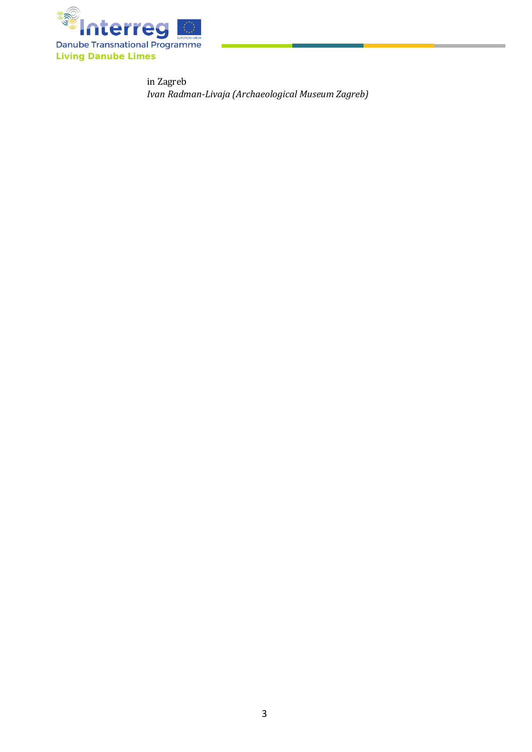

in Zagreb *Ivan Radman-Livaja (Archaeological Museum Zagreb)*